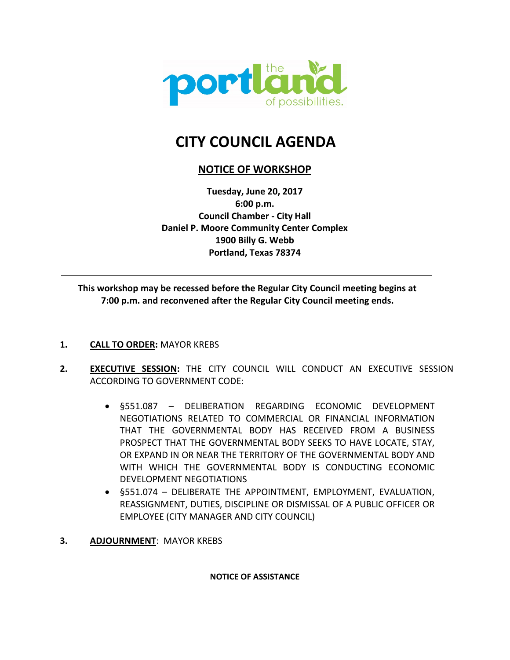

# **CITY COUNCIL AGENDA**

# **NOTICE OF WORKSHOP**

**Tuesday, June 20, 2017 6:00 p.m. Council Chamber - City Hall Daniel P. Moore Community Center Complex 1900 Billy G. Webb Portland, Texas 78374**

**This workshop may be recessed before the Regular City Council meeting begins at 7:00 p.m. and reconvened after the Regular City Council meeting ends.**

**1. CALL TO ORDER:** MAYOR KREBS

 $\overline{a}$ 

- **2. EXECUTIVE SESSION:** THE CITY COUNCIL WILL CONDUCT AN EXECUTIVE SESSION ACCORDING TO GOVERNMENT CODE:
	- §551.087 DELIBERATION REGARDING ECONOMIC DEVELOPMENT NEGOTIATIONS RELATED TO COMMERCIAL OR FINANCIAL INFORMATION THAT THE GOVERNMENTAL BODY HAS RECEIVED FROM A BUSINESS PROSPECT THAT THE GOVERNMENTAL BODY SEEKS TO HAVE LOCATE, STAY, OR EXPAND IN OR NEAR THE TERRITORY OF THE GOVERNMENTAL BODY AND WITH WHICH THE GOVERNMENTAL BODY IS CONDUCTING ECONOMIC DEVELOPMENT NEGOTIATIONS
	- §551.074 DELIBERATE THE APPOINTMENT, EMPLOYMENT, EVALUATION, REASSIGNMENT, DUTIES, DISCIPLINE OR DISMISSAL OF A PUBLIC OFFICER OR EMPLOYEE (CITY MANAGER AND CITY COUNCIL)
- **3. ADJOURNMENT**: MAYOR KREBS

**NOTICE OF ASSISTANCE**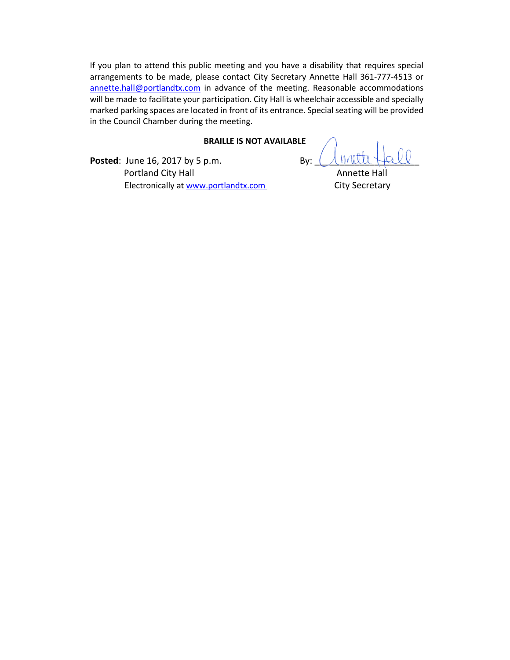If you plan to attend this public meeting and you have a disability that requires special arrangements to be made, please contact City Secretary Annette Hall 361-777-4513 or annette.hall@portlandtx.com in advance of the meeting. Reasonable accommodations will be made to facilitate your participation. City Hall is wheelchair accessible and specially marked parking spaces are located in front of its entrance. Special seating will be provided in the Council Chamber during the meeting.

#### **BRAILLE IS NOT AVAILABLE**

**Posted:** June 16, 2017 by 5 p.m. By:  $\left(\sqrt{h} \sqrt{h}\right)$ Portland City Hall **Annette Hall** Annette Hall Electronically at www.portlandtx.com City Secretary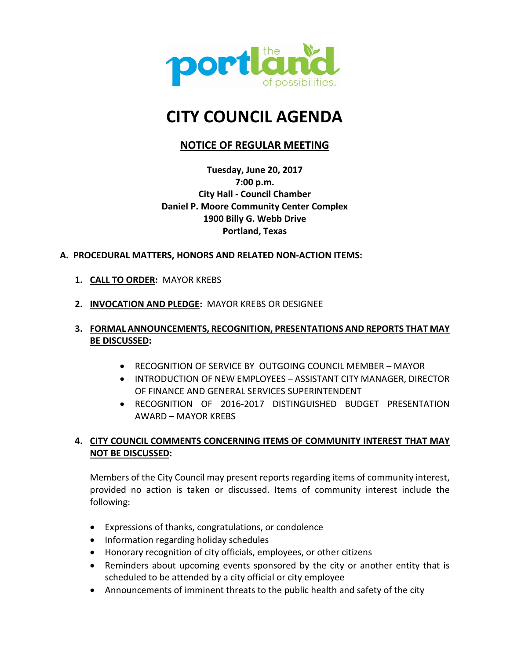

# **CITY COUNCIL AGENDA**

# **NOTICE OF REGULAR MEETING**

**Tuesday, June 20, 2017 7:00 p.m. City Hall - Council Chamber Daniel P. Moore Community Center Complex 1900 Billy G. Webb Drive Portland, Texas**

## **A. PROCEDURAL MATTERS, HONORS AND RELATED NON-ACTION ITEMS:**

- **1. CALL TO ORDER:** MAYOR KREBS
- **2. INVOCATION AND PLEDGE:** MAYOR KREBS OR DESIGNEE

## **3. FORMAL ANNOUNCEMENTS, RECOGNITION, PRESENTATIONS AND REPORTS THAT MAY BE DISCUSSED:**

- RECOGNITION OF SERVICE BY OUTGOING COUNCIL MEMBER MAYOR
- INTRODUCTION OF NEW EMPLOYEES ASSISTANT CITY MANAGER, DIRECTOR OF FINANCE AND GENERAL SERVICES SUPERINTENDENT
- RECOGNITION OF 2016-2017 DISTINGUISHED BUDGET PRESENTATION AWARD – MAYOR KREBS

# **4. CITY COUNCIL COMMENTS CONCERNING ITEMS OF COMMUNITY INTEREST THAT MAY NOT BE DISCUSSED:**

Members of the City Council may present reports regarding items of community interest, provided no action is taken or discussed. Items of community interest include the following:

- Expressions of thanks, congratulations, or condolence
- Information regarding holiday schedules
- Honorary recognition of city officials, employees, or other citizens
- Reminders about upcoming events sponsored by the city or another entity that is scheduled to be attended by a city official or city employee
- Announcements of imminent threats to the public health and safety of the city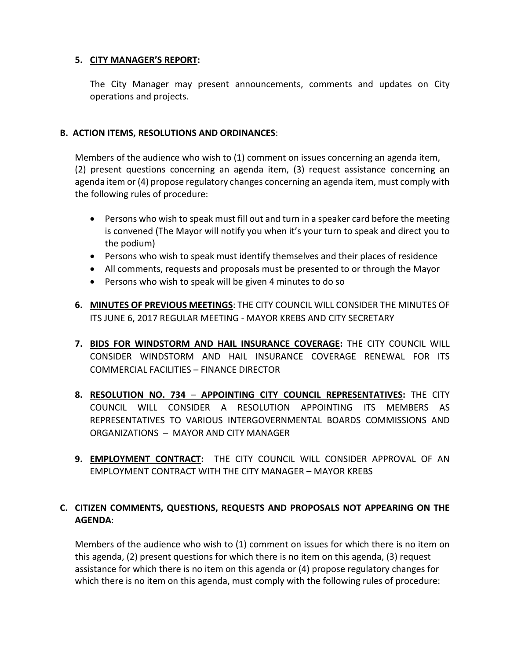## **5. CITY MANAGER'S REPORT:**

The City Manager may present announcements, comments and updates on City operations and projects.

## **B. ACTION ITEMS, RESOLUTIONS AND ORDINANCES**:

Members of the audience who wish to (1) comment on issues concerning an agenda item, (2) present questions concerning an agenda item, (3) request assistance concerning an agenda item or (4) propose regulatory changes concerning an agenda item, must comply with the following rules of procedure:

- Persons who wish to speak must fill out and turn in a speaker card before the meeting is convened (The Mayor will notify you when it's your turn to speak and direct you to the podium)
- Persons who wish to speak must identify themselves and their places of residence
- All comments, requests and proposals must be presented to or through the Mayor
- Persons who wish to speak will be given 4 minutes to do so
- **6. MINUTES OF PREVIOUS MEETINGS**: THE CITY COUNCIL WILL CONSIDER THE MINUTES OF ITS JUNE 6, 2017 REGULAR MEETING - MAYOR KREBS AND CITY SECRETARY
- **7. BIDS FOR WINDSTORM AND HAIL INSURANCE COVERAGE:** THE CITY COUNCIL WILL CONSIDER WINDSTORM AND HAIL INSURANCE COVERAGE RENEWAL FOR ITS COMMERCIAL FACILITIES – FINANCE DIRECTOR
- **8. RESOLUTION NO. 734 APPOINTING CITY COUNCIL REPRESENTATIVES:** THE CITY COUNCIL WILL CONSIDER A RESOLUTION APPOINTING ITS MEMBERS AS REPRESENTATIVES TO VARIOUS INTERGOVERNMENTAL BOARDS COMMISSIONS AND ORGANIZATIONS – MAYOR AND CITY MANAGER
- **9. EMPLOYMENT CONTRACT:** THE CITY COUNCIL WILL CONSIDER APPROVAL OF AN EMPLOYMENT CONTRACT WITH THE CITY MANAGER – MAYOR KREBS

# **C. CITIZEN COMMENTS, QUESTIONS, REQUESTS AND PROPOSALS NOT APPEARING ON THE AGENDA**:

Members of the audience who wish to (1) comment on issues for which there is no item on this agenda, (2) present questions for which there is no item on this agenda, (3) request assistance for which there is no item on this agenda or (4) propose regulatory changes for which there is no item on this agenda, must comply with the following rules of procedure: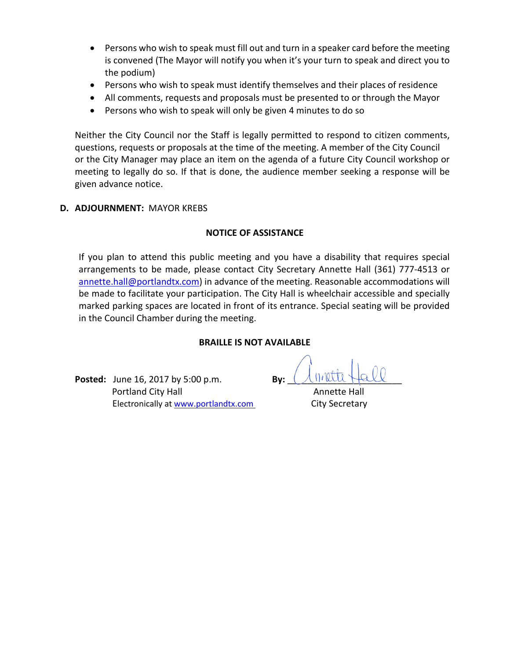- Persons who wish to speak must fill out and turn in a speaker card before the meeting is convened (The Mayor will notify you when it's your turn to speak and direct you to the podium)
- Persons who wish to speak must identify themselves and their places of residence
- All comments, requests and proposals must be presented to or through the Mayor
- Persons who wish to speak will only be given 4 minutes to do so

Neither the City Council nor the Staff is legally permitted to respond to citizen comments, questions, requests or proposals at the time of the meeting. A member of the City Council or the City Manager may place an item on the agenda of a future City Council workshop or meeting to legally do so. If that is done, the audience member seeking a response will be given advance notice.

## **D. ADJOURNMENT:** MAYOR KREBS

## **NOTICE OF ASSISTANCE**

If you plan to attend this public meeting and you have a disability that requires special arrangements to be made, please contact City Secretary Annette Hall (361) 777-4513 or annette.hall@portlandtx.com) in advance of the meeting. Reasonable accommodations will be made to facilitate your participation. The City Hall is wheelchair accessible and specially marked parking spaces are located in front of its entrance. Special seating will be provided in the Council Chamber during the meeting.

## **BRAILLE IS NOT AVAILABLE**

**Posted:** June 16, 2017 by 5:00 p.m. **Portland City Hall Annette Hall Annette Hall** Electronically at www.portlandtx.com City Secretary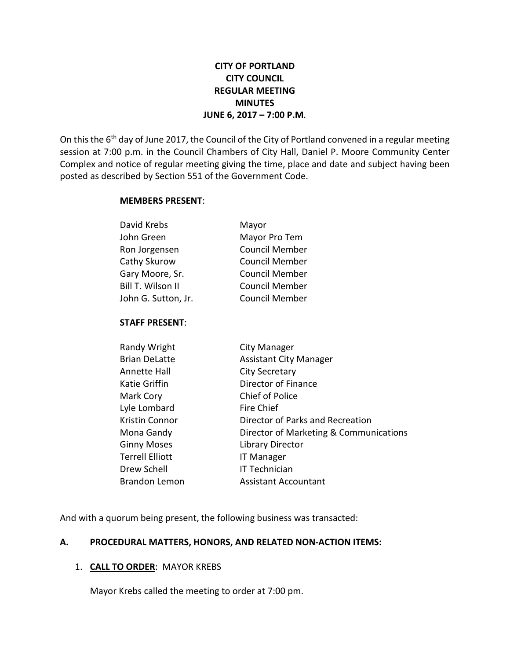# **CITY OF PORTLAND CITY COUNCIL REGULAR MEETING MINUTES JUNE 6, 2017 – 7:00 P.M**.

On this the 6<sup>th</sup> day of June 2017, the Council of the City of Portland convened in a regular meeting session at 7:00 p.m. in the Council Chambers of City Hall, Daniel P. Moore Community Center Complex and notice of regular meeting giving the time, place and date and subject having been posted as described by Section 551 of the Government Code.

#### **MEMBERS PRESENT**:

| David Krebs         | Mayor                 |
|---------------------|-----------------------|
| John Green          | Mayor Pro Tem         |
| Ron Jorgensen       | <b>Council Member</b> |
| Cathy Skurow        | <b>Council Member</b> |
| Gary Moore, Sr.     | <b>Council Member</b> |
| Bill T. Wilson II   | <b>Council Member</b> |
| John G. Sutton, Jr. | <b>Council Member</b> |
|                     |                       |

## **STAFF PRESENT**:

| Randy Wright           | City Manager                           |
|------------------------|----------------------------------------|
| <b>Brian DeLatte</b>   | <b>Assistant City Manager</b>          |
| <b>Annette Hall</b>    | <b>City Secretary</b>                  |
| Katie Griffin          | Director of Finance                    |
| Mark Cory              | <b>Chief of Police</b>                 |
| Lyle Lombard           | Fire Chief                             |
| Kristin Connor         | Director of Parks and Recreation       |
| Mona Gandy             | Director of Marketing & Communications |
| <b>Ginny Moses</b>     | <b>Library Director</b>                |
| <b>Terrell Elliott</b> | <b>IT Manager</b>                      |
| Drew Schell            | IT Technician                          |
| <b>Brandon Lemon</b>   | <b>Assistant Accountant</b>            |

And with a quorum being present, the following business was transacted:

## **A. PROCEDURAL MATTERS, HONORS, AND RELATED NON-ACTION ITEMS:**

# 1. **CALL TO ORDER**: MAYOR KREBS

Mayor Krebs called the meeting to order at 7:00 pm.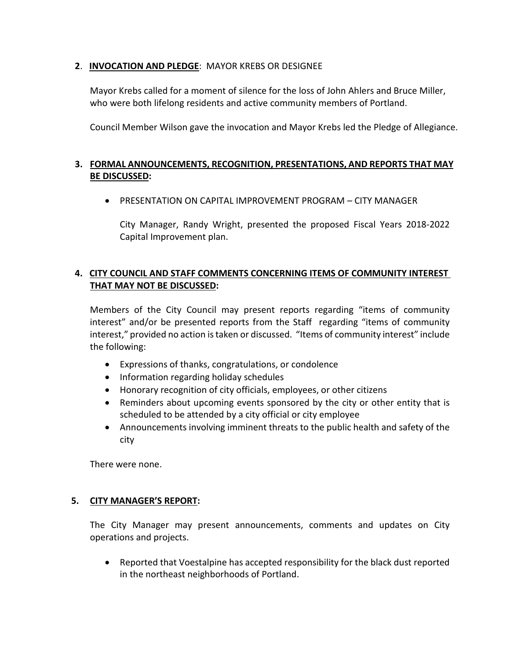# **2**. **INVOCATION AND PLEDGE**: MAYOR KREBS OR DESIGNEE

Mayor Krebs called for a moment of silence for the loss of John Ahlers and Bruce Miller, who were both lifelong residents and active community members of Portland.

Council Member Wilson gave the invocation and Mayor Krebs led the Pledge of Allegiance.

# **3. FORMAL ANNOUNCEMENTS, RECOGNITION, PRESENTATIONS, AND REPORTS THAT MAY BE DISCUSSED:**

• PRESENTATION ON CAPITAL IMPROVEMENT PROGRAM – CITY MANAGER

City Manager, Randy Wright, presented the proposed Fiscal Years 2018-2022 Capital Improvement plan.

# **4. CITY COUNCIL AND STAFF COMMENTS CONCERNING ITEMS OF COMMUNITY INTEREST THAT MAY NOT BE DISCUSSED:**

Members of the City Council may present reports regarding "items of community interest" and/or be presented reports from the Staff regarding "items of community interest," provided no action is taken or discussed. "Items of community interest" include the following:

- Expressions of thanks, congratulations, or condolence
- Information regarding holiday schedules
- Honorary recognition of city officials, employees, or other citizens
- Reminders about upcoming events sponsored by the city or other entity that is scheduled to be attended by a city official or city employee
- Announcements involving imminent threats to the public health and safety of the city

There were none.

# **5. CITY MANAGER'S REPORT:**

The City Manager may present announcements, comments and updates on City operations and projects.

• Reported that Voestalpine has accepted responsibility for the black dust reported in the northeast neighborhoods of Portland.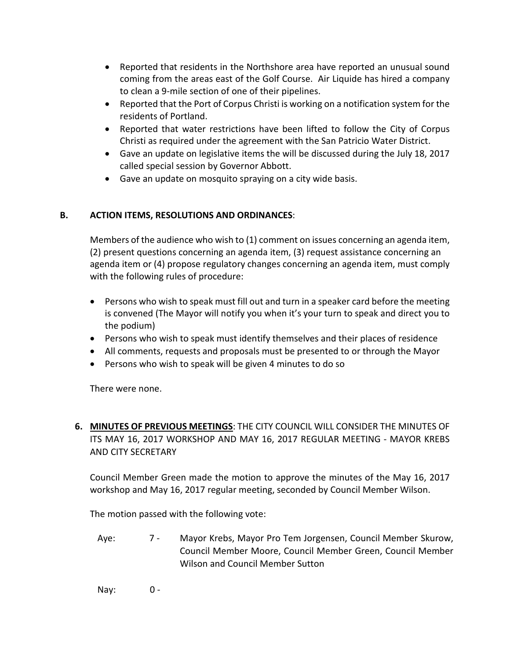- Reported that residents in the Northshore area have reported an unusual sound coming from the areas east of the Golf Course. Air Liquide has hired a company to clean a 9-mile section of one of their pipelines.
- Reported that the Port of Corpus Christi is working on a notification system for the residents of Portland.
- Reported that water restrictions have been lifted to follow the City of Corpus Christi as required under the agreement with the San Patricio Water District.
- Gave an update on legislative items the will be discussed during the July 18, 2017 called special session by Governor Abbott.
- Gave an update on mosquito spraying on a city wide basis.

# **B. ACTION ITEMS, RESOLUTIONS AND ORDINANCES**:

Members of the audience who wish to (1) comment on issues concerning an agenda item, (2) present questions concerning an agenda item, (3) request assistance concerning an agenda item or (4) propose regulatory changes concerning an agenda item, must comply with the following rules of procedure:

- Persons who wish to speak must fill out and turn in a speaker card before the meeting is convened (The Mayor will notify you when it's your turn to speak and direct you to the podium)
- Persons who wish to speak must identify themselves and their places of residence
- All comments, requests and proposals must be presented to or through the Mayor
- Persons who wish to speak will be given 4 minutes to do so

There were none.

**6. MINUTES OF PREVIOUS MEETINGS**: THE CITY COUNCIL WILL CONSIDER THE MINUTES OF ITS MAY 16, 2017 WORKSHOP AND MAY 16, 2017 REGULAR MEETING - MAYOR KREBS AND CITY SECRETARY

Council Member Green made the motion to approve the minutes of the May 16, 2017 workshop and May 16, 2017 regular meeting, seconded by Council Member Wilson.

The motion passed with the following vote:

- Aye: 7 Mayor Krebs, Mayor Pro Tem Jorgensen, Council Member Skurow, Council Member Moore, Council Member Green, Council Member Wilson and Council Member Sutton
- Nay: 0 -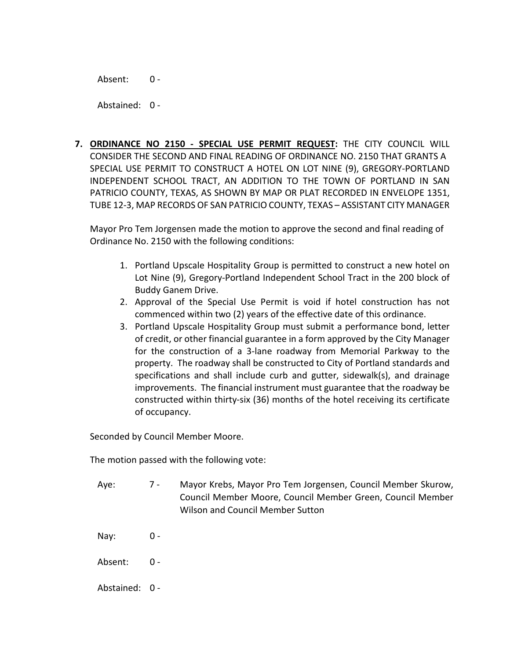Absent: 0 -

Abstained: 0 -

**7. ORDINANCE NO 2150 - SPECIAL USE PERMIT REQUEST:** THE CITY COUNCIL WILL CONSIDER THE SECOND AND FINAL READING OF ORDINANCE NO. 2150 THAT GRANTS A SPECIAL USE PERMIT TO CONSTRUCT A HOTEL ON LOT NINE (9), GREGORY-PORTLAND INDEPENDENT SCHOOL TRACT, AN ADDITION TO THE TOWN OF PORTLAND IN SAN PATRICIO COUNTY, TEXAS, AS SHOWN BY MAP OR PLAT RECORDED IN ENVELOPE 1351, TUBE 12-3, MAP RECORDS OF SAN PATRICIO COUNTY, TEXAS – ASSISTANT CITY MANAGER

Mayor Pro Tem Jorgensen made the motion to approve the second and final reading of Ordinance No. 2150 with the following conditions:

- 1. Portland Upscale Hospitality Group is permitted to construct a new hotel on Lot Nine (9), Gregory-Portland Independent School Tract in the 200 block of Buddy Ganem Drive.
- 2. Approval of the Special Use Permit is void if hotel construction has not commenced within two (2) years of the effective date of this ordinance.
- 3. Portland Upscale Hospitality Group must submit a performance bond, letter of credit, or other financial guarantee in a form approved by the City Manager for the construction of a 3-lane roadway from Memorial Parkway to the property. The roadway shall be constructed to City of Portland standards and specifications and shall include curb and gutter, sidewalk(s), and drainage improvements. The financial instrument must guarantee that the roadway be constructed within thirty-six (36) months of the hotel receiving its certificate of occupancy.

Seconded by Council Member Moore.

The motion passed with the following vote:

- Aye: 7 Mayor Krebs, Mayor Pro Tem Jorgensen, Council Member Skurow, Council Member Moore, Council Member Green, Council Member Wilson and Council Member Sutton
- Nay:  $0 -$
- Absent: 0 -
- Abstained: 0 -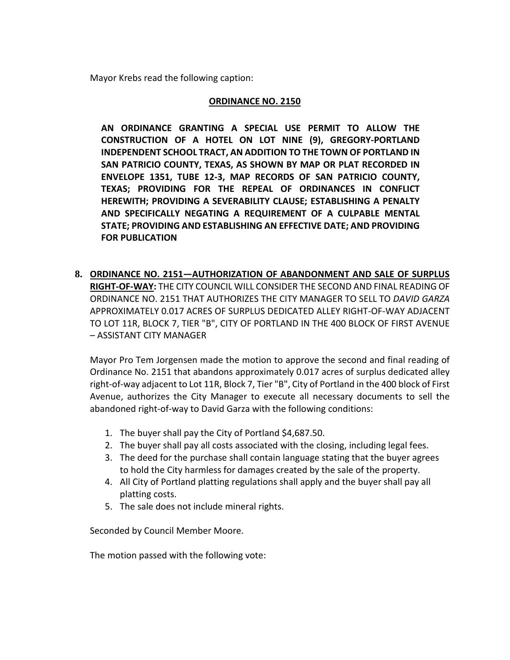Mayor Krebs read the following caption:

#### **ORDINANCE NO. 2150**

**AN ORDINANCE GRANTING A SPECIAL USE PERMIT TO ALLOW THE CONSTRUCTION OF A HOTEL ON LOT NINE (9), GREGORY-PORTLAND INDEPENDENT SCHOOL TRACT, AN ADDITION TO THE TOWN OF PORTLAND IN SAN PATRICIO COUNTY, TEXAS, AS SHOWN BY MAP OR PLAT RECORDED IN ENVELOPE 1351, TUBE 12-3, MAP RECORDS OF SAN PATRICIO COUNTY, TEXAS; PROVIDING FOR THE REPEAL OF ORDINANCES IN CONFLICT HEREWITH; PROVIDING A SEVERABILITY CLAUSE; ESTABLISHING A PENALTY AND SPECIFICALLY NEGATING A REQUIREMENT OF A CULPABLE MENTAL STATE; PROVIDING AND ESTABLISHING AN EFFECTIVE DATE; AND PROVIDING FOR PUBLICATION**

**8. ORDINANCE NO. 2151—AUTHORIZATION OF ABANDONMENT AND SALE OF SURPLUS RIGHT-OF-WAY:** THE CITY COUNCIL WILL CONSIDER THE SECOND AND FINAL READING OF ORDINANCE NO. 2151 THAT AUTHORIZES THE CITY MANAGER TO SELL TO *DAVID GARZA*  APPROXIMATELY 0.017 ACRES OF SURPLUS DEDICATED ALLEY RIGHT-OF-WAY ADJACENT TO LOT 11R, BLOCK 7, TIER "B", CITY OF PORTLAND IN THE 400 BLOCK OF FIRST AVENUE – ASSISTANT CITY MANAGER

Mayor Pro Tem Jorgensen made the motion to approve the second and final reading of Ordinance No. 2151 that abandons approximately 0.017 acres of surplus dedicated alley right-of-way adjacent to Lot 11R, Block 7, Tier "B", City of Portland in the 400 block of First Avenue, authorizes the City Manager to execute all necessary documents to sell the abandoned right-of-way to David Garza with the following conditions:

- 1. The buyer shall pay the City of Portland \$4,687.50.
- 2. The buyer shall pay all costs associated with the closing, including legal fees.
- 3. The deed for the purchase shall contain language stating that the buyer agrees to hold the City harmless for damages created by the sale of the property.
- 4. All City of Portland platting regulations shall apply and the buyer shall pay all platting costs.
- 5. The sale does not include mineral rights.

Seconded by Council Member Moore.

The motion passed with the following vote: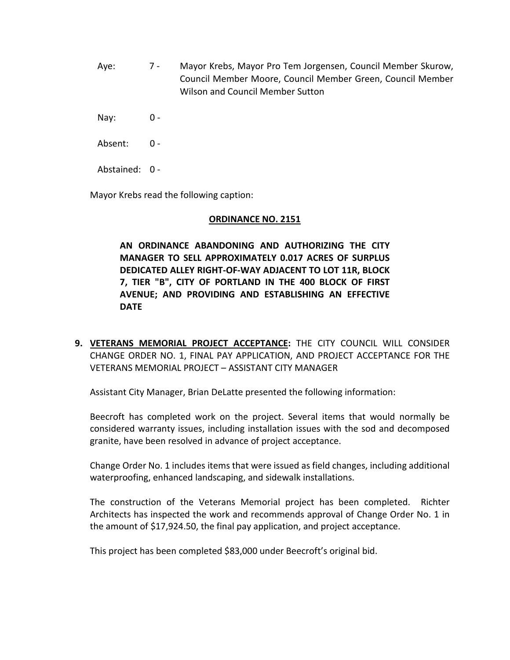Aye: 7 - Mayor Krebs, Mayor Pro Tem Jorgensen, Council Member Skurow, Council Member Moore, Council Member Green, Council Member Wilson and Council Member Sutton

Nay: 0 -

Absent: 0 -

Abstained: 0 -

Mayor Krebs read the following caption:

## **ORDINANCE NO. 2151**

**AN ORDINANCE ABANDONING AND AUTHORIZING THE CITY MANAGER TO SELL APPROXIMATELY 0.017 ACRES OF SURPLUS DEDICATED ALLEY RIGHT-OF-WAY ADJACENT TO LOT 11R, BLOCK 7, TIER "B", CITY OF PORTLAND IN THE 400 BLOCK OF FIRST AVENUE; AND PROVIDING AND ESTABLISHING AN EFFECTIVE DATE**

**9. VETERANS MEMORIAL PROJECT ACCEPTANCE:** THE CITY COUNCIL WILL CONSIDER CHANGE ORDER NO. 1, FINAL PAY APPLICATION, AND PROJECT ACCEPTANCE FOR THE VETERANS MEMORIAL PROJECT – ASSISTANT CITY MANAGER

Assistant City Manager, Brian DeLatte presented the following information:

Beecroft has completed work on the project. Several items that would normally be considered warranty issues, including installation issues with the sod and decomposed granite, have been resolved in advance of project acceptance.

Change Order No. 1 includes items that were issued as field changes, including additional waterproofing, enhanced landscaping, and sidewalk installations.

The construction of the Veterans Memorial project has been completed. Richter Architects has inspected the work and recommends approval of Change Order No. 1 in the amount of \$17,924.50, the final pay application, and project acceptance.

This project has been completed \$83,000 under Beecroft's original bid.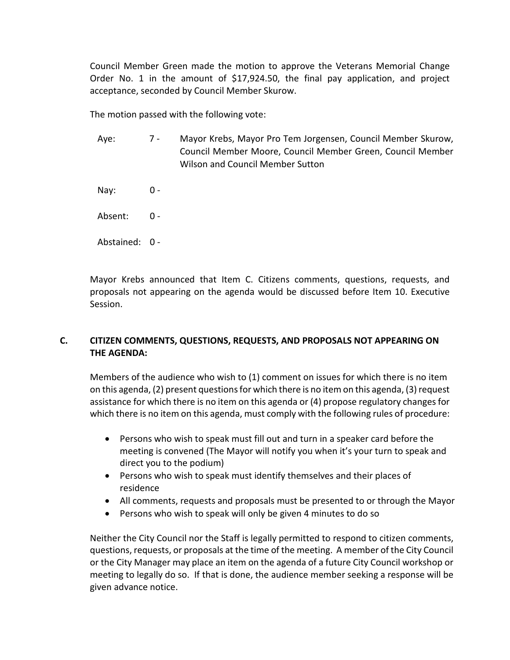Council Member Green made the motion to approve the Veterans Memorial Change Order No. 1 in the amount of \$17,924.50, the final pay application, and project acceptance, seconded by Council Member Skurow.

The motion passed with the following vote:

- Aye: 7 Mayor Krebs, Mayor Pro Tem Jorgensen, Council Member Skurow, Council Member Moore, Council Member Green, Council Member Wilson and Council Member Sutton
- Nay: 0 -
- Absent: 0 -
- Abstained: 0 -

Mayor Krebs announced that Item C. Citizens comments, questions, requests, and proposals not appearing on the agenda would be discussed before Item 10. Executive Session.

# **C. CITIZEN COMMENTS, QUESTIONS, REQUESTS, AND PROPOSALS NOT APPEARING ON THE AGENDA:**

Members of the audience who wish to (1) comment on issues for which there is no item on this agenda, (2) present questions for which there is no item on this agenda, (3) request assistance for which there is no item on this agenda or (4) propose regulatory changes for which there is no item on this agenda, must comply with the following rules of procedure:

- Persons who wish to speak must fill out and turn in a speaker card before the meeting is convened (The Mayor will notify you when it's your turn to speak and direct you to the podium)
- Persons who wish to speak must identify themselves and their places of residence
- All comments, requests and proposals must be presented to or through the Mayor
- Persons who wish to speak will only be given 4 minutes to do so

Neither the City Council nor the Staff is legally permitted to respond to citizen comments, questions, requests, or proposals at the time of the meeting. A member of the City Council or the City Manager may place an item on the agenda of a future City Council workshop or meeting to legally do so. If that is done, the audience member seeking a response will be given advance notice.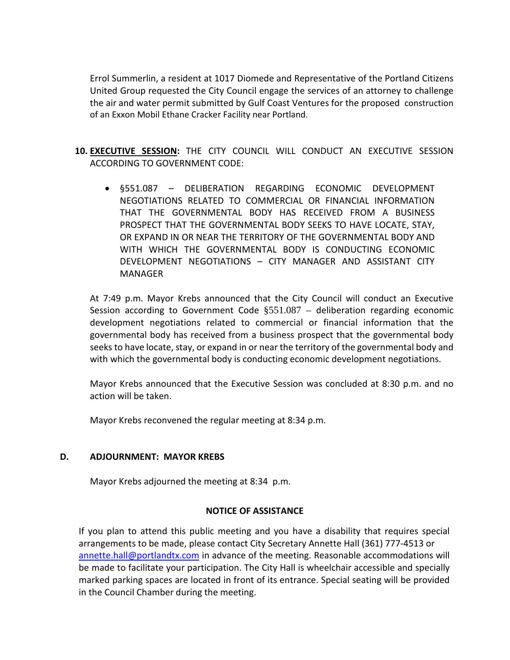Errol Summerlin, a resident at 1017 Diomede and Representative of the Portland Citizens United Group requested the City Council engage the services of an attorney to challenge the air and water permit submitted by Gulf Coast Ventures for the proposed construction of an Exxon Mobil Ethane Cracker Facility near Portland.

- **10. EXECUTIVE SESSION:** THE CITY COUNCIL WILL CONDUCT AN EXECUTIVE SESSION ACCORDING TO GOVERNMENT CODE:
	- §551.087 DELIBERATION REGARDING ECONOMIC DEVELOPMENT NEGOTIATIONS RELATED TO COMMERCIAL OR FINANCIAL INFORMATION THAT THE GOVERNMENTAL BODY HAS RECEIVED FROM A BUSINESS PROSPECT THAT THE GOVERNMENTAL BODY SEEKS TO HAVE LOCATE, STAY, OR EXPAND IN OR NEAR THE TERRITORY OF THE GOVERNMENTAL BODY AND WITH WHICH THE GOVERNMENTAL BODY IS CONDUCTING ECONOMIC DEVELOPMENT NEGOTIATIONS – CITY MANAGER AND ASSISTANT CITY MANAGER

At 7:49 p.m. Mayor Krebs announced that the City Council will conduct an Executive Session according to Government Code  $\S 551.087 -$  deliberation regarding economic development negotiations related to commercial or financial information that the governmental body has received from a business prospect that the governmental body seeks to have locate, stay, or expand in or near the territory of the governmental body and with which the governmental body is conducting economic development negotiations.

Mayor Krebs announced that the Executive Session was concluded at 8:30 p.m. and no action will be taken.

Mayor Krebs reconvened the regular meeting at 8:34 p.m.

## **D. ADJOURNMENT: MAYOR KREBS**

Mayor Krebs adjourned the meeting at 8:34 p.m.

## **NOTICE OF ASSISTANCE**

If you plan to attend this public meeting and you have a disability that requires special arrangements to be made, please contact City Secretary Annette Hall (361) 777-4513 or annette.hall@portlandtx.com in advance of the meeting. Reasonable accommodations will be made to facilitate your participation. The City Hall is wheelchair accessible and specially marked parking spaces are located in front of its entrance. Special seating will be provided in the Council Chamber during the meeting.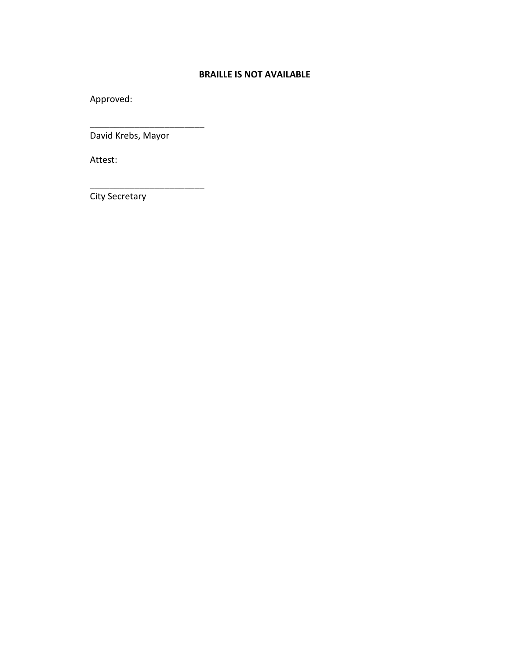## **BRAILLE IS NOT AVAILABLE**

Approved:

David Krebs, Mayor

\_\_\_\_\_\_\_\_\_\_\_\_\_\_\_\_\_\_\_\_\_\_\_

\_\_\_\_\_\_\_\_\_\_\_\_\_\_\_\_\_\_\_\_\_\_\_

Attest:

City Secretary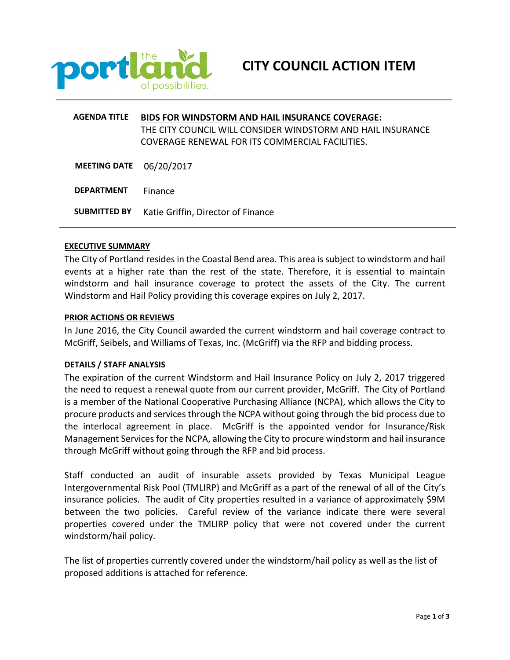

# **AGENDA TITLE BIDS FOR WINDSTORM AND HAIL INSURANCE COVERAGE:** THE CITY COUNCIL WILL CONSIDER WINDSTORM AND HAIL INSURANCE COVERAGE RENEWAL FOR ITS COMMERCIAL FACILITIES.

**MEETING DATE** 06/20/2017

**DEPARTMENT** Finance

**SUBMITTED BY** Katie Griffin, Director of Finance

#### **EXECUTIVE SUMMARY**

The City of Portland resides in the Coastal Bend area. This area is subject to windstorm and hail events at a higher rate than the rest of the state. Therefore, it is essential to maintain windstorm and hail insurance coverage to protect the assets of the City. The current Windstorm and Hail Policy providing this coverage expires on July 2, 2017.

#### **PRIOR ACTIONS OR REVIEWS**

In June 2016, the City Council awarded the current windstorm and hail coverage contract to McGriff, Seibels, and Williams of Texas, Inc. (McGriff) via the RFP and bidding process.

#### **DETAILS / STAFF ANALYSIS**

The expiration of the current Windstorm and Hail Insurance Policy on July 2, 2017 triggered the need to request a renewal quote from our current provider, McGriff. The City of Portland is a member of the National Cooperative Purchasing Alliance (NCPA), which allows the City to procure products and services through the NCPA without going through the bid process due to the interlocal agreement in place. McGriff is the appointed vendor for Insurance/Risk Management Services for the NCPA, allowing the City to procure windstorm and hail insurance through McGriff without going through the RFP and bid process.

Staff conducted an audit of insurable assets provided by Texas Municipal League Intergovernmental Risk Pool (TMLIRP) and McGriff as a part of the renewal of all of the City's insurance policies. The audit of City properties resulted in a variance of approximately \$9M between the two policies. Careful review of the variance indicate there were several properties covered under the TMLIRP policy that were not covered under the current windstorm/hail policy.

The list of properties currently covered under the windstorm/hail policy as well as the list of proposed additions is attached for reference.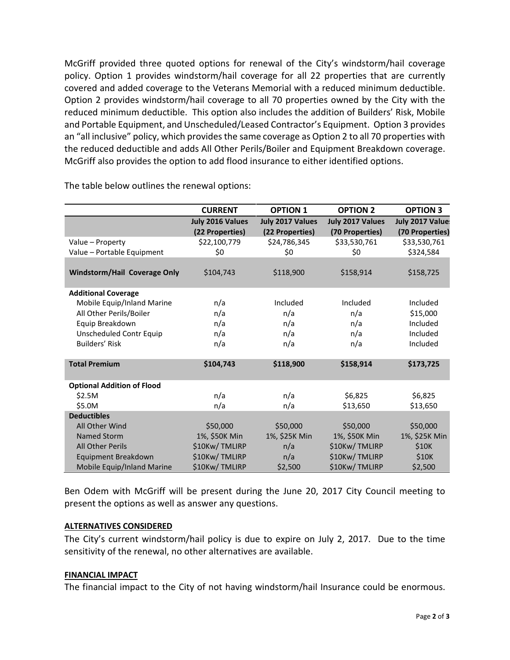McGriff provided three quoted options for renewal of the City's windstorm/hail coverage policy. Option 1 provides windstorm/hail coverage for all 22 properties that are currently covered and added coverage to the Veterans Memorial with a reduced minimum deductible. Option 2 provides windstorm/hail coverage to all 70 properties owned by the City with the reduced minimum deductible. This option also includes the addition of Builders' Risk, Mobile and Portable Equipment, and Unscheduled/Leased Contractor's Equipment. Option 3 provides an "all inclusive" policy, which provides the same coverage as Option 2 to all 70 properties with the reduced deductible and adds All Other Perils/Boiler and Equipment Breakdown coverage. McGriff also provides the option to add flood insurance to either identified options.

|                                     | <b>CURRENT</b>   | <b>OPTION 1</b>  | <b>OPTION 2</b>  | <b>OPTION 3</b> |
|-------------------------------------|------------------|------------------|------------------|-----------------|
|                                     | July 2016 Values | July 2017 Values | July 2017 Values | July 2017 Value |
|                                     | (22 Properties)  | (22 Properties)  | (70 Properties)  | (70 Properties) |
| Value - Property                    | \$22,100,779     | \$24,786,345     | \$33,530,761     | \$33,530,761    |
| Value - Portable Equipment          | \$0              | \$0              | \$0              | \$324,584       |
|                                     |                  |                  |                  |                 |
| <b>Windstorm/Hail Coverage Only</b> | \$104,743        | \$118,900        | \$158,914        | \$158,725       |
|                                     |                  |                  |                  |                 |
| <b>Additional Coverage</b>          |                  |                  |                  |                 |
| Mobile Equip/Inland Marine          | n/a              | Included         | Included         | Included        |
| All Other Perils/Boiler             | n/a              | n/a              | n/a              | \$15,000        |
| Equip Breakdown                     | n/a              | n/a              | n/a              | Included        |
| <b>Unscheduled Contr Equip</b>      | n/a              | n/a              | n/a              | Included        |
| Builders' Risk                      | n/a              | n/a              | n/a              | Included        |
|                                     |                  |                  |                  |                 |
| <b>Total Premium</b>                | \$104,743        | \$118,900        | \$158,914        | \$173,725       |
|                                     |                  |                  |                  |                 |
| <b>Optional Addition of Flood</b>   |                  |                  |                  |                 |
| \$2.5M                              | n/a              | n/a              | \$6,825          | \$6,825         |
| \$5.0M                              | n/a              | n/a              | \$13,650         | \$13,650        |
| <b>Deductibles</b>                  |                  |                  |                  |                 |
| All Other Wind                      | \$50,000         | \$50,000         | \$50,000         | \$50,000        |
| Named Storm                         | 1%, \$50K Min    | 1%, \$25K Min    | 1%, \$50K Min    | 1%, \$25K Min   |
| <b>All Other Perils</b>             | \$10Kw/TMLIRP    | n/a              | \$10Kw/TMLIRP    | \$10K           |
| Equipment Breakdown                 | \$10Kw/TMLIRP    | n/a              | \$10Kw/TMLIRP    | \$10K           |
| Mobile Equip/Inland Marine          | \$10Kw/TMLIRP    | \$2,500          | \$10Kw/TMLIRP    | \$2,500         |

The table below outlines the renewal options:

Ben Odem with McGriff will be present during the June 20, 2017 City Council meeting to present the options as well as answer any questions.

#### **ALTERNATIVES CONSIDERED**

The City's current windstorm/hail policy is due to expire on July 2, 2017. Due to the time sensitivity of the renewal, no other alternatives are available.

#### **FINANCIAL IMPACT**

The financial impact to the City of not having windstorm/hail Insurance could be enormous.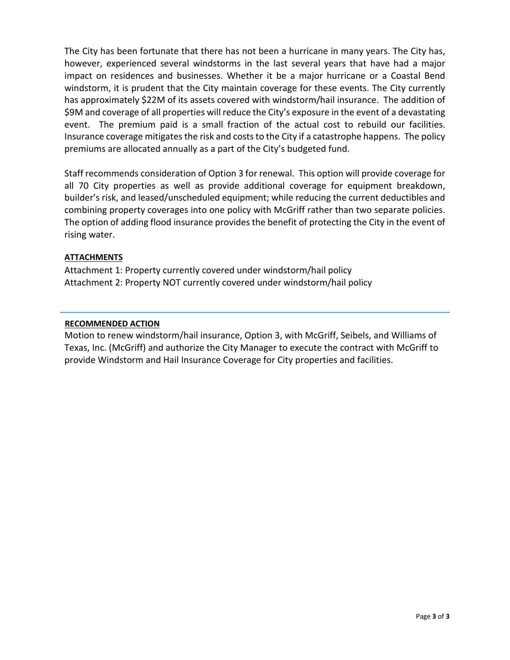The City has been fortunate that there has not been a hurricane in many years. The City has, however, experienced several windstorms in the last several years that have had a major impact on residences and businesses. Whether it be a major hurricane or a Coastal Bend windstorm, it is prudent that the City maintain coverage for these events. The City currently has approximately \$22M of its assets covered with windstorm/hail insurance. The addition of \$9M and coverage of all properties will reduce the City's exposure in the event of a devastating event. The premium paid is a small fraction of the actual cost to rebuild our facilities. Insurance coverage mitigates the risk and costs to the City if a catastrophe happens. The policy premiums are allocated annually as a part of the City's budgeted fund.

Staff recommends consideration of Option 3 for renewal. This option will provide coverage for all 70 City properties as well as provide additional coverage for equipment breakdown, builder's risk, and leased/unscheduled equipment; while reducing the current deductibles and combining property coverages into one policy with McGriff rather than two separate policies. The option of adding flood insurance provides the benefit of protecting the City in the event of rising water.

#### **ATTACHMENTS**

Attachment 1: Property currently covered under windstorm/hail policy Attachment 2: Property NOT currently covered under windstorm/hail policy

#### **RECOMMENDED ACTION**

Motion to renew windstorm/hail insurance, Option 3, with McGriff, Seibels, and Williams of Texas, Inc. (McGriff) and authorize the City Manager to execute the contract with McGriff to provide Windstorm and Hail Insurance Coverage for City properties and facilities.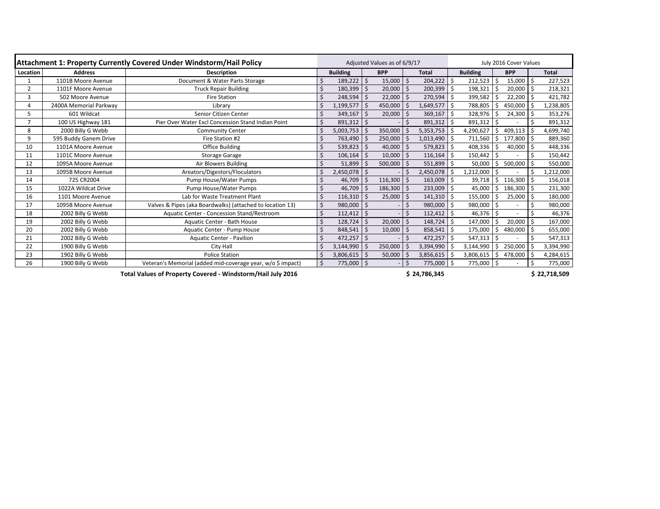| <b>Attachment 1: Property Currently Covered Under Windstorm/Hail Policy</b> |                        |                                                             | Adjusted Values as of 6/9/17 |                 |                            |                |         |                | July 2016 Cover Values |                |    |                |              |           |  |
|-----------------------------------------------------------------------------|------------------------|-------------------------------------------------------------|------------------------------|-----------------|----------------------------|----------------|---------|----------------|------------------------|----------------|----|----------------|--------------|-----------|--|
| Location                                                                    | <b>Address</b>         | <b>Description</b>                                          |                              | <b>Building</b> | <b>BPP</b><br><b>Total</b> |                |         |                | <b>Building</b>        | <b>BPP</b>     |    |                | <b>Total</b> |           |  |
|                                                                             | 1101B Moore Avenue     | Document & Water Parts Storage                              |                              | 189,222         | $\zeta$                    | 15,000         | $\zeta$ | 204,222        | \$                     | 212,523        | \$ | 15,000         |              | 227,523   |  |
| $\overline{2}$                                                              | 1101F Moore Avenue     | <b>Truck Repair Building</b>                                |                              | 180,399         | \$                         | $20,000$ \$    |         | 200,399        | \$                     | 198,321        | Ś. | $20,000$ \$    |              | 218,321   |  |
| 3                                                                           | 502 Moore Avenue       | <b>Fire Station</b>                                         |                              | 248,594         | Ŝ.                         | $22,000$   \$  |         | 270,594        | \$                     | 399,582        |    | $22,200$ \$    |              | 421,782   |  |
| 4                                                                           | 2400A Memorial Parkway | Library                                                     |                              | 1,199,577       | $\zeta$                    | 450,000   \$   |         | 1,649,577      | \$                     | 788,805        | \$ | $450,000$   \$ |              | 1,238,805 |  |
| 5                                                                           | 601 Wildcat            | Senior Citizen Center                                       |                              | 349,167         | \$                         | 20,000         | $\zeta$ | 369,167        | \$                     | 328,976        | \$ | $24,300$   \$  |              | 353,276   |  |
|                                                                             | 100 US Highway 181     | Pier Over Water Excl Concession Stand Indian Point          |                              | 891,312         | $\zeta$                    |                | \$.     | $891,312$ \$   |                        | $891,312$ \$   |    |                |              | 891,312   |  |
| 8                                                                           | 2000 Billy G Webb      | <b>Community Center</b>                                     |                              | 5,003,753       | Ŝ.                         | 350,000        | \$      | 5,353,753      | \$                     | 4,290,627      | Ś  | 409,113        | l \$         | 4,699,740 |  |
| 9                                                                           | 595 Buddy Ganem Drive  | Fire Station #2                                             |                              | 763,490         | \$                         | $250,000$   \$ |         | $1,013,490$ \$ |                        | 711,560        | \$ | $177,800$ \$   |              | 889,360   |  |
| 10                                                                          | 1101A Moore Avenue     | <b>Office Building</b>                                      |                              | 539,823         | Ŝ.                         | 40,000         | -\$     | 579,823        | -S                     | 408,336        | S. | $40,000$   \$  |              | 448,336   |  |
| 11                                                                          | 1101C Moore Avenue     | <b>Storage Garage</b>                                       |                              | 106,164         |                            | $10,000$   \$  |         | 116,164        | .S                     | 150,442        | Ŝ. |                |              | 150,442   |  |
| 12                                                                          | 1095A Moore Avenue     | Air Blowers Building                                        |                              | 51,899          |                            | 500,000        | $\zeta$ | 551,899        |                        | 50,000         | \$ | 500,000        |              | 550,000   |  |
| 13                                                                          | 1095B Moore Avenue     | Areators/Digestors/Floculators                              |                              | 2,450,078       | $\zeta$                    |                | Ś       | 2,450,078      | \$                     | 1,212,000      | \$ |                |              | 1,212,000 |  |
| 14                                                                          | 725 CR2004             | Pump House/Water Pumps                                      |                              | 46,709          | Ŝ.                         | $116,300$   \$ |         | 163,009        | \$                     | 39,718         | \$ | $116,300$ \$   |              | 156,018   |  |
| 15                                                                          | 1022A Wildcat Drive    | Pump House/Water Pumps                                      |                              | 46,709          | <sup>5</sup>               | $186,300$ \$   |         | 233,009        | \$                     | 45,000         | \$ | $186,300$   \$ |              | 231,300   |  |
| 16                                                                          | 1101 Moore Avenue      | Lab for Waste Treatment Plant                               |                              | 116,310         | $\zeta$                    | $25,000$   \$  |         | $141,310$   \$ |                        | 155,000        | \$ | $25,000$   \$  |              | 180,000   |  |
| 17                                                                          | 1095B Moore Avenue     | Valves & Pipes (aka Boardwalks) (attached to location 13)   |                              | $980,000$ \$    |                            |                | \$      | $980,000$   \$ |                        | $980,000$   \$ |    |                | \$           | 980,000   |  |
| 18                                                                          | 2002 Billy G Webb      | Aquatic Center - Concession Stand/Restroom                  |                              | $112,412$   \$  |                            |                | $\zeta$ | $112,412$ \$   |                        | $46,376$   \$  |    |                |              | 46,376    |  |
| 19                                                                          | 2002 Billy G Webb      | Aquatic Center - Bath House                                 |                              | 128,724         | \$.                        | 20,000         | -\$     | 148,724        | \$                     | 147,000        | Ŝ. | $20,000$   \$  |              | 167,000   |  |
| 20                                                                          | 2002 Billy G Webb      | Aquatic Center - Pump House                                 |                              | 848,541         |                            | 10,000         | $\zeta$ | 858,541        | \$                     | 175,000        |    | 480,000 \$     |              | 655,000   |  |
| 21                                                                          | 2002 Billy G Webb      | <b>Aquatic Center - Pavilion</b>                            |                              | 472,257         | 'S                         |                | $\zeta$ | 472,257        | \$                     | 547,313        | \$ |                |              | 547,313   |  |
| 22                                                                          | 1900 Billy G Webb      | City Hall                                                   |                              | 3,144,990       |                            | 250,000        | $\zeta$ | 3,394,990      |                        | 3,144,990      | \$ | 250,000        |              | 3,394,990 |  |
| 23                                                                          | 1902 Billy G Webb      | <b>Police Station</b>                                       |                              | 3,806,615       | \$                         | $50,000$   \$  |         | 3,856,615      | \$                     | 3,806,615      | \$ | 478,000        | l \$         | 4,284,615 |  |
| 26                                                                          | 1900 Billy G Webb      | Veteran's Memorial (added mid-coverage year, w/o \$ impact) |                              | 775,000         | $\zeta$                    |                | Ŝ.      | 775,000 \$     |                        | 775,000 \$     |    |                |              | 775,000   |  |

**\$ 24,786,345 \$ 22,718,509**

**Total Values of Property Covered - Windstorm/Hail July 2016**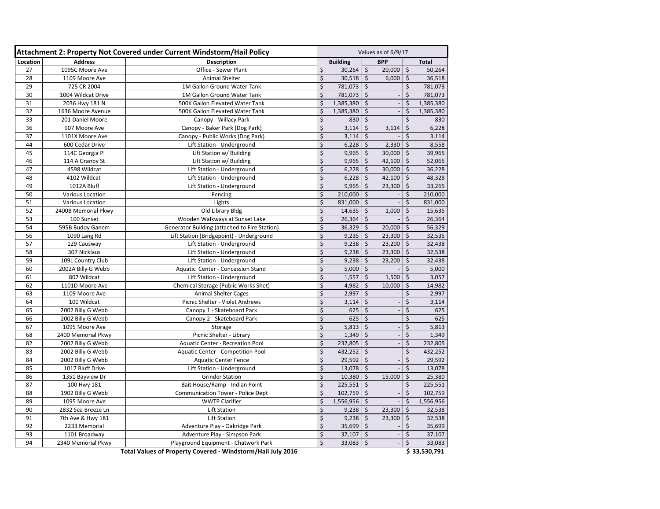| Attachment 2: Property Not Covered under Current Windstorm/Hail Policy |                         |                                               | Values as of 6/9/17 |               |         |            |         |              |
|------------------------------------------------------------------------|-------------------------|-----------------------------------------------|---------------------|---------------|---------|------------|---------|--------------|
| Location                                                               | <b>Address</b>          | <b>Description</b>                            | <b>Building</b>     |               |         | <b>BPP</b> |         | <b>Total</b> |
| 27                                                                     | 1095C Moore Ave         | Office - Sewer Plant                          | \$                  | 30,264        | \$      | 20,000     | \$      | 50,264       |
| 28                                                                     | 1109 Moore Ave          | <b>Animal Shelter</b>                         | \$                  | 30,518        | $\zeta$ | 6,000      | $\zeta$ | 36,518       |
| 29                                                                     | 725 CR 2004             | 1M Gallon Ground Water Tank                   | \$                  | 781,073       | $\zeta$ |            | \$      | 781,073      |
| 30                                                                     | 1004 Wildcat Drive      | 1M Gallon Ground Water Tank                   | \$                  | 781,073       | \$      |            | \$      | 781,073      |
| 31                                                                     | 2036 Hwy 181 N          | 500K Gallon Elevated Water Tank               | \$                  | 1,385,380     | $\zeta$ |            |         | 1,385,380    |
| 32                                                                     | 1636 Moore Avenue       | 500K Gallon Elevated Water Tank               | \$                  | 1,385,380     | \$      |            |         | 1,385,380    |
| 33                                                                     | 201 Daniel Moore        | Canopy - Willacy Park                         | \$                  | 830           | $\zeta$ |            | \$      | 830          |
| 36                                                                     | 907 Moore Ave           | Canopy - Baker Park (Dog Park)                | \$                  | 3,114         | $\zeta$ | 3,114      | \$      | 6,228        |
| 37                                                                     | 1101X Moore Ave         | Canopy - Public Works (Dog Park)              | \$                  | 3,114         | \$      |            |         | 3,114        |
| 44                                                                     | 600 Cedar Drive         | Lift Station - Underground                    | \$                  | 6,228         | \$      | 2,330      | \$      | 8,558        |
| 45                                                                     | 114C Georgia Pl         | Lift Station w/ Building                      | \$                  | 9,965         | $\zeta$ | 30,000     | $\zeta$ | 39,965       |
| 46                                                                     | 114 A Granby St         | Lift Station w/ Building                      | \$                  | 9,965         | \$      | 42,100     | $\zeta$ | 52,065       |
| 47                                                                     | 4598 Wildcat            | Lift Station - Underground                    | \$                  | 6,228         | $\zeta$ | 30,000     | $\zeta$ | 36,228       |
| 48                                                                     | 4102 Wildcat            | Lift Station - Underground                    | \$                  | 6,228         | $\zeta$ | 42,100     | \$      | 48,328       |
| 49                                                                     | 1012A Bluff             | Lift Station - Underground                    | \$                  | 9,965         | \$      | 23,300     | $\zeta$ | 33,265       |
| 50                                                                     | <b>Various Location</b> | Fencing                                       | \$                  | 210,000       | $\zeta$ |            | \$      | 210,000      |
| 51                                                                     | <b>Various Location</b> | Lights                                        | \$                  | 831,000       | \$      |            |         | 831,000      |
| 52                                                                     | 2400B Memorial Pkwy     | Old Library Bldg                              | \$                  | 14,635        | \$      | 1,000      | \$      | 15,635       |
| 53                                                                     | 100 Sunset              | Wooden Walkways at Sunset Lake                | \$                  | 26,364        | \$      |            | \$      | 26,364       |
| 54                                                                     | 595B Buddy Ganem        | Generator Building (attached to Fire Station) | \$                  | 36,329        | \$      | 20,000     | \$      | 56,329       |
| 56                                                                     | 1090 Lang Rd            | Lift Station (Bridgepoint) - Underground      | \$                  | 9,235         | $\zeta$ | 23,300     | $\zeta$ | 32,535       |
| 57                                                                     | 129 Causway             | Lift Station - Underground                    | \$                  | 9,238         | \$      | 23,200     | $\zeta$ | 32,438       |
| 58                                                                     | 307 Nicklaus            | Lift Station - Underground                    | \$                  | 9,238         | \$      | 23,300     | $\zeta$ | 32,538       |
| 59                                                                     | 109L Country Club       | Lift Station - Underground                    | \$                  | 9,238         | \$      | 23,200     | \$      | 32,438       |
| 60                                                                     | 2002A Billy G Webb      | Aquatic Center - Concession Stand             | \$                  | 5,000         | \$      |            |         | 5,000        |
| 61                                                                     | 807 Wildcat             | Lift Station - Underground                    | \$                  | 1,557         | $\zeta$ | 1,500      | \$      | 3,057        |
| 62                                                                     | 1101D Moore Ave         | <b>Chemical Storage (Public Works Shet)</b>   | \$                  | 4,982         | $\zeta$ | 10,000     | $\zeta$ | 14,982       |
| 63                                                                     | 1109 Moore Ave          | <b>Animal Shelter Cages</b>                   | \$                  | 2,997         | \$      |            | \$      | 2,997        |
| 64                                                                     | 100 Wildcat             | Picnic Shelter - Violet Andrews               | Ś                   | 3,114         | $\zeta$ |            | \$      | 3,114        |
| 65                                                                     | 2002 Billy G Webb       | Canopy 1 - Skateboard Park                    | \$                  | 625           | $\zeta$ |            | $\zeta$ | 625          |
| 66                                                                     | 2002 Billy G Webb       | Canopy 2 - Skateboard Park                    | \$                  | 625           | $\zeta$ |            | $\zeta$ | 625          |
| 67                                                                     | 1095 Moore Ave          | Storage                                       | \$                  | 5,813         | \$      |            | \$      | 5,813        |
| 68                                                                     | 2400 Memorial Pkwy      | Picnic Shelter - Library                      | \$                  | 1,349         | \$      |            | \$      | 1,349        |
| 82                                                                     | 2002 Billy G Webb       | <b>Aquatic Center - Recreation Pool</b>       | \$                  | 232,805       | \$      |            | \$      | 232,805      |
| 83                                                                     | 2002 Billy G Webb       | <b>Aquatic Center - Competition Pool</b>      | \$                  | 432,252       | $\zeta$ |            | \$      | 432,252      |
| 84                                                                     | 2002 Billy G Webb       | <b>Aquatic Center Fence</b>                   | \$                  | 29,592        | $\zeta$ |            | \$      | 29,592       |
| 85                                                                     | 1017 Bluff Drive        | Lift Station - Underground                    | \$                  | $13,078$   \$ |         |            | \$      | 13,078       |
| 86                                                                     | 1351 Bayview Dr         | <b>Grinder Station</b>                        | \$                  | 10,380        | \$      | 15,000     | \$      | 25,380       |
| 87                                                                     | 100 Hwy 181             | Bait House/Ramp - Indian Point                | \$                  | $225,551$ \$  |         |            | \$      | 225,551      |
| 88                                                                     | 1902 Billy G Webb       | <b>Communication Tower - Police Dept</b>      | \$                  | 102,759       | $\zeta$ |            | \$      | 102,759      |
| 89                                                                     | 1095 Moore Ave          | <b>WWTP Clarifier</b>                         | \$                  | 1,556,956     | \$      |            |         | 1,556,956    |
| 90                                                                     | 2832 Sea Breeze Ln      | Lift Station                                  | \$                  | 9,238         | \$      | 23,300     | \$      | 32,538       |
| 91                                                                     | 7th Ave & Hwy 181       | <b>Lift Station</b>                           | \$                  | 9,238         | \$      | 23,300     | $\zeta$ | 32,538       |
| 92                                                                     | 2233 Memorial           | Adventure Play - Oakridge Park                | \$                  | 35,699        | -\$     |            | \$      | 35,699       |
| 93                                                                     | 1101 Broadway           | Adventure Play - Simpson Park                 | \$                  | 37,107        | $\zeta$ |            | \$      | 37,107       |
| 94                                                                     | 2340 Memorial Pkwy      | Playground Equipment - Chatwork Park          | \$                  | 33,083        | \$      |            | \$      | 33,083       |

**Total Values of Property Covered - Windstorm/Hail July 2016 <b>1999 12:00 12:00 13:00 13:00 13:00 13:00 13:00 13:00 13:00 13:00 13:00 13:00 13:00 13:00 13:00 13:00 13:00 13:00 13:00 13:00 13:00 13:00 13:00 13:00 13:00 13:**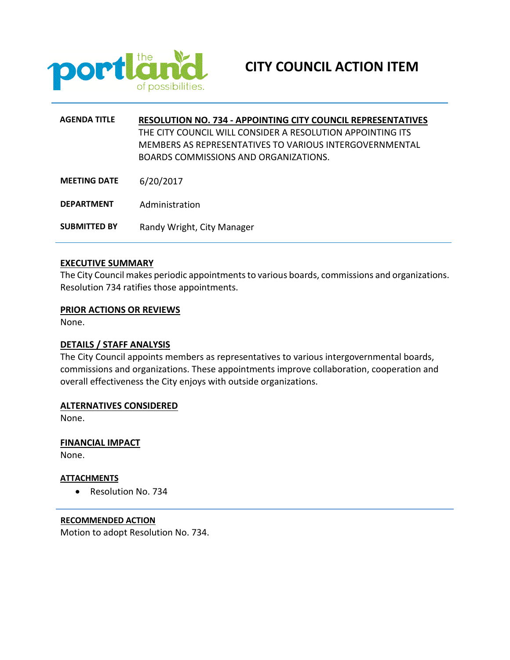

| <b>AGENDA TITLE</b> | <b>RESOLUTION NO. 734 - APPOINTING CITY COUNCIL REPRESENTATIVES</b><br>THE CITY COUNCIL WILL CONSIDER A RESOLUTION APPOINTING ITS<br>MEMBERS AS REPRESENTATIVES TO VARIOUS INTERGOVERNMENTAL<br>BOARDS COMMISSIONS AND ORGANIZATIONS. |
|---------------------|---------------------------------------------------------------------------------------------------------------------------------------------------------------------------------------------------------------------------------------|
| <b>MEETING DATE</b> | 6/20/2017                                                                                                                                                                                                                             |
| <b>DEPARTMENT</b>   | Administration                                                                                                                                                                                                                        |
| <b>SUBMITTED BY</b> | Randy Wright, City Manager                                                                                                                                                                                                            |

## **EXECUTIVE SUMMARY**

The City Council makes periodic appointments to various boards, commissions and organizations. Resolution 734 ratifies those appointments.

#### **PRIOR ACTIONS OR REVIEWS**

None.

#### **DETAILS / STAFF ANALYSIS**

The City Council appoints members as representatives to various intergovernmental boards, commissions and organizations. These appointments improve collaboration, cooperation and overall effectiveness the City enjoys with outside organizations.

#### **ALTERNATIVES CONSIDERED**

None.

## **FINANCIAL IMPACT**

None.

## **ATTACHMENTS**

• Resolution No. 734

## **RECOMMENDED ACTION**

Motion to adopt Resolution No. 734.